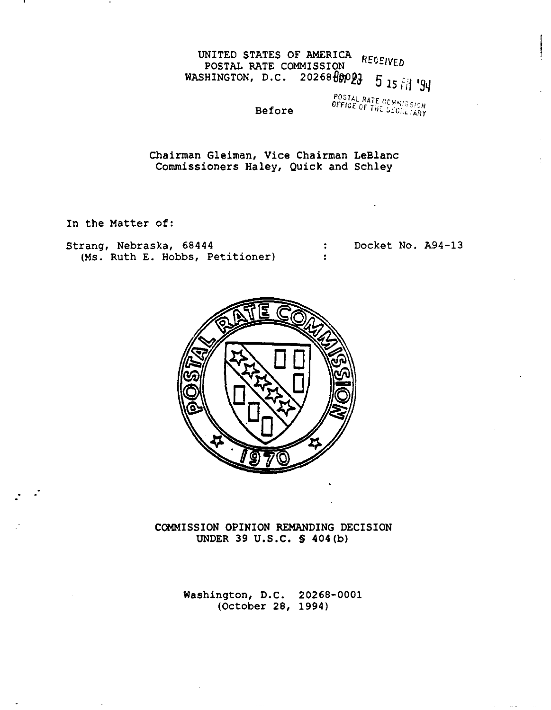# UNITED STATES OF AMERICA RECEIVED POSTAL RATE COMMISSION POSTAL RATE COMMISSION<br>WASHINGTON, D.C. 20268 00003 5 15 FM '94

Before

POSTAL RATE COMMISSION

Chairman Gleiman, Vice Chairman LeBlanc Commissioners Haley, Quick and Schley

In the Matter of:

Strang, Nebraska, 68444 Docket No. A94-13  $\ddot{\bullet}$ (Ms. Ruth E. Hobbs, Petitioner)  $\bullet$ 



COMMISSION OPINION REMANDING DECISION UNDER 39 U.S.C. § 404(b)

> Washington, D.C. 20268-0001 (October 28, 1994)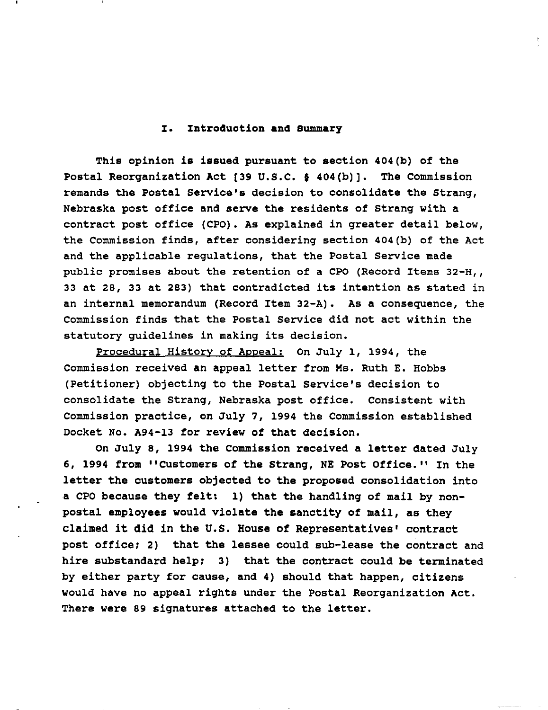## I. Introduotion **and** Summary

This opinion is issued pursuant to section 404(b) of the Postal Reorganization Act [39 U.S.C. § 404(b)]. The Commission remands the Postal Service's decision to consolidate the Strang, Nebraska post office and serve the residents of strang with a contract post office (CPO). As explained in greater detail below, the Commission finds, after considering section 404(b) of the Act and the applicable regulations, that the Postal service made public promises about the retention of a CPO (Record Items 32-H., <sup>33</sup> at 28, <sup>33</sup> at 283) that contradicted its intention as stated in an internal memorandum (Record Item 32-A). As a consequence, the Commission finds that the Postal Service did not act within the statutory guidelines in making its decision.

Procedural History of Appeal: On July 1, 1994, the Commission received an appeal letter from Ms. Ruth E. Hobbs (Petitioner) objecting to the Postal Service's decision to consolidate the Strang, Nebraska post office. Consistent with Commission practice, on July 7, 1994 the Commission established Docket No. A94-13 for review of that decision.

On July 8, <sup>1994</sup> the Commission received <sup>a</sup> letter dated July 6, 1994 from "Customers of the Strang, NE Post Office." In the letter the customers objected to the proposed consolidation into a CPO because they felt: 1) that the handling of mail by nonpostal employees would violate the sanctity of mail, as they claimed it did in the U.S. House of Representatives' contract post office; 2) that the lessee could sub-lease the contract and hire substandard help; 3) that the contract could be terminated by either party for cause, and 4) should that happen, citizens would have no appeal rights under the Postal Reorganization Act. There were 89 signatures attached to the letter.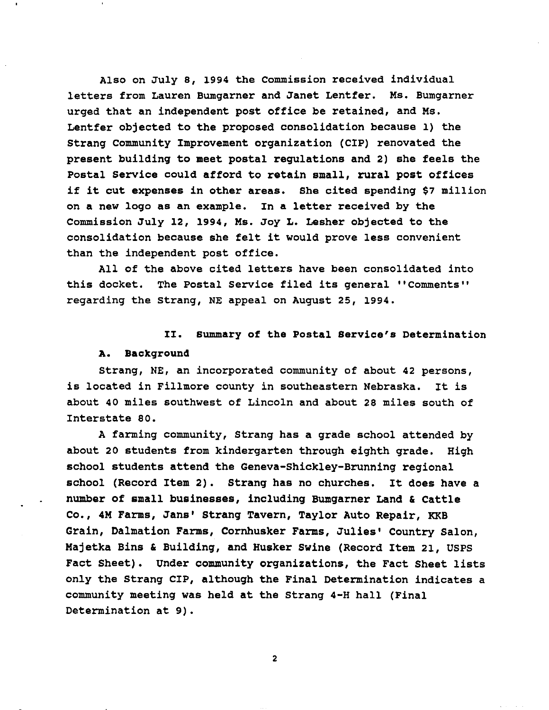Also on July 8, 1994 the Commission received individual letters from Lauren Bumgarner and Janet Lentfer. Ms. Bumgarner urged that an independent post office be retained, and Ms. Lentfer objected to the proposed consolidation because 1) the strang Community Improvement organization (CIP) renovated the present building to meet postal regulations and 2) she feels the Postal Service could afford to retain small, rural post offices if it cut expenses in other areas. She cited spending \$7 million on a new logo as an example. In a letter received by the Commission July 12, 1994, Ms. Joy L. Lesher objected to the consolidation because she felt it would prove less convenient than the independent post office.

All of the above cited letters have been consolidated into this docket. The Postal Service filed its general "Comments" regarding the strang, NE appeal on August 25, 1994.

## II. summary of the Postal Service's Determination

#### A. Background

strang, NE, an incorporated community of about 42 persons, is located in Fillmore county in southeastern Nebraska. It is about 40 miles southwest of Lincoln and about 28 miles south of Interstate 80.

A farming community, Strang has a grade school attended by about 20 students from kindergarten through eighth grade. High school students attend the Geneva-Shickley-Brunning regional school (Record Item 2). Strang has no churches. It does have <sup>a</sup> number of small businesses, including Bumgarner Land & Cattle Co., 4M Farms, Jans' Strang Tavern, Taylor Auto Repair, KKB Grain, Dalmation Farms, Cornhusker Farms, Julies' Country Salon, Majetka Bins & Building, and Husker Swine (Record Item 21, USPS Fact Sheet). Under community organizations, the Fact Sheet lists only the Strang CIP, although the Final Determination indicates a community meeting was held at the Strang 4-H hall (Final Determination at 9).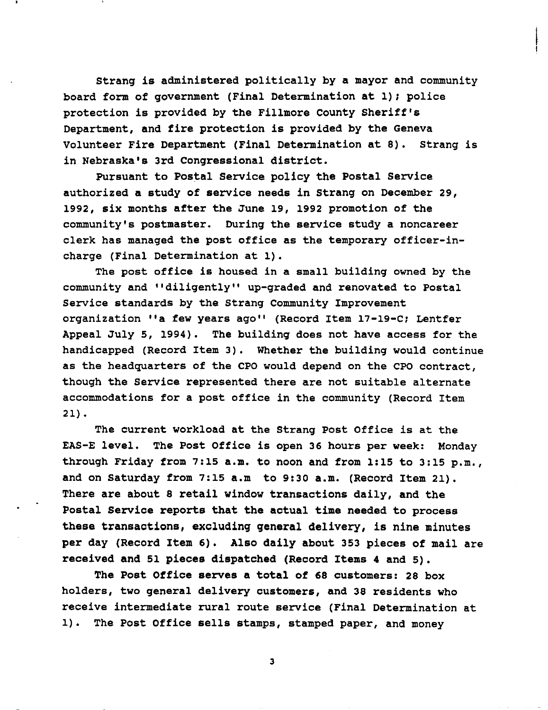strang is administered politically by a mayor and community board form of government (Final Determination at 1); police protection is provided by the Fillmore county Sheriff's Department, and fire protection is provided by the Geneva Volunteer Fire Department (Final Determination at 8). strang is in Nebraska's 3rd Congressional district.

Pursuant to Postal Service policy the Postal Service authorized a study of service needs in strang on December 29, 1992, six months after the June 19, 1992 promotion of the community's postmaster. During the service study a noncareer clerk has managed the post office as the temporary officer-incharge (Final Determination at 1).

The post office is housed in a small building owned by the community and "diligently" up-graded and renovated to Postal Service standards by the strang Community Improvement organization "a few years ago" (Record Item 17-19-C; Lentfer Appeal July 5, 1994). The building does not have access for the handicapped (Record Item 3). Whether the building would continue as the headquarters of the CPO would depend on the CPO contract, though the Service represented there are not suitable alternate accommodations for a post office in the community (Record Item 21) •

The current workload at the strang Post Office is at the EAS-E level. The Post Office is open 36 hours per week: Monday through Friday from 7:15 a.m. to noon and from 1:15 to 3:15 p.m., and on Saturday from 7:15 a.m to 9:30 a.m. (Record Item 21). There are about 8 retail window transactions daily, and the Postal Service reports that the actual time needed to process these transactions, excluding general delivery, is nine minutes per day (Record Item 6). Also daily about 353 pieces of mail are received and 51 pieces dispatched (Record Items 4 and 5).

The Post Office serves a total of 68 customers: 28 box holders, two general delivery customers, and 38 residents who receive intermediate rural route service (Final Determination at 1). The Post Office sells stamps, stamped paper, and money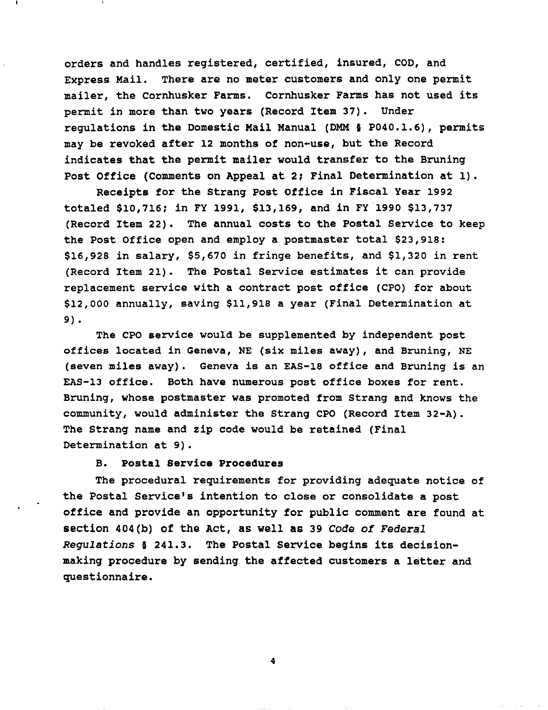orders and handles registered, certified, insured, COD, and Express Mail. There are no meter customers and only one permit mailer, the Cornhusker Farms. Cornhusker Farms has not used its permit in more than two years (Record Item 37). Under regulations in the Domestic Mail Manual (DMM § P040.1.6), permits may be revoked after 12 months of non-use, but the Record indicates that the permit mailer would transfer to the Bruning Post Office (Comments on Appeal at 2; Final Determination at 1).

Receipts for the strang Post Office in Fiscal Year 1992 totaled \$10,716; in FY 1991, \$13,169, and in FY 1990 \$13,737 (Record Item 22). The annual costs to the Postal Service to keep the Post Office open and employ a postmaster total \$23,918: \$16,928 in salary, \$5,670 in fringe benefits, and \$1,320 in rent (Record Item 21). The Postal Service estimates it can provide replacement service with a contract post office (CPO) for about \$12,000 annually, saving \$11,918 a year (Final Determination at 9).

The CPO service would be supplemented by independent post offices located in Geneva, NE (six miles away), and Bruning, NE (seven miles away). Geneva is an EAS-18 office and Bruning is an EAS-13 office. Both have numerous post office boxes for rent. Bruning, whose postmaster was promoted from strang and knows the community, would administer the Strang CPO (Record Item 32-A). The Strang name and zip code would be retained (Final Determination at 9).

# B. Postal Service Procedures

The procedural requirements for providing adequate notice of the Postal Service's intention to close or consolidate a post office and provide an opportunity for public comment are found at section 404(b) of the Act, as well as 39 *Code of Federal Regulations* § 241.3. The Postal Service begins its decisionmaking procedure by sending the affected customers <sup>a</sup> letter and questionnaire.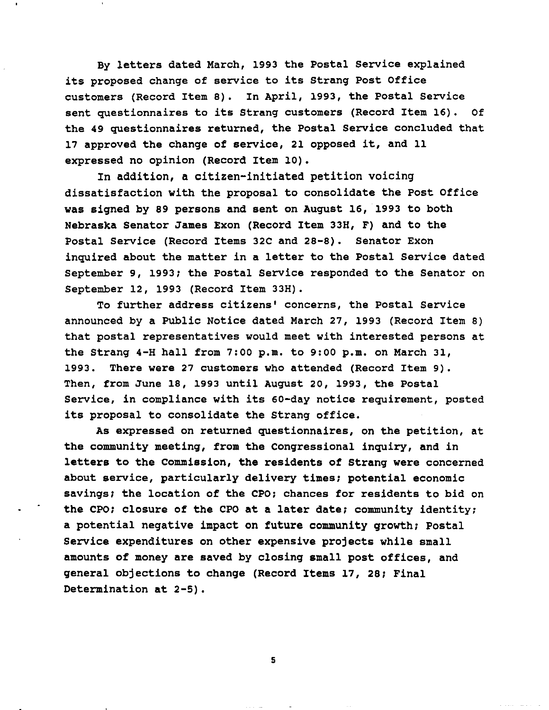By letters dated March, 1993 the Postal Service explained its proposed change of service to its Strang Post Office customers (Record Item 8). In April, 1993, the Postal Service sent questionnaires to its Strang customers (Record Item 16). Of the 49 questionnaires returned, the Postal Service concluded that <sup>17</sup> approved the change of service, <sup>21</sup> opposed it, and <sup>11</sup> expressed no opinion (Record Item 10).

In addition, a citizen-initiated petition voicing dissatisfaction with the proposal to consolidate the Post Office was signed by 89 persons and sent on August 16, 1993 to both Nebraska Senator James Exon (Record Item 33H, F) and to the Postal Service (Record Items 32C and 28-8). Senator Exon inquired about the matter in a letter to the Postal Service dated September 9, 1993; the Postal Service responded to the Senator on September 12, 1993 (Record Item 33H).

To further address citizens' concerns, the Postal Service announced by a Public Notice dated March 27, 1993 (Record Item 8) that postal representatives would meet with interested persons at the Strang 4-H hall from 7:00 p.m. to 9:00 p.m. on March 31, 1993. There were 27 customers who attended (Record Item 9). Then, from June 18, 1993 until August 20, 1993, the Postal Service, in compliance with its 60-day notice requirement, posted its proposal to consolidate the Strang office.

As expressed on returned questionnaires, on the petition, at the community meeting, from the Congressional inquiry, and in letters to the Commission, the residents of Strang were concerned about service, particularly delivery times; potential economic savings; the location of the CPO; chances for residents to bid on the CPO; closure of the CPO at a later date; community identity; a potential negative impact on future community growth; Postal Service expenditures on other expensive projects while small amounts of money are saved by closing small post offices, and general objections to change (Record Items 17, 28; Final Determination at 2-5).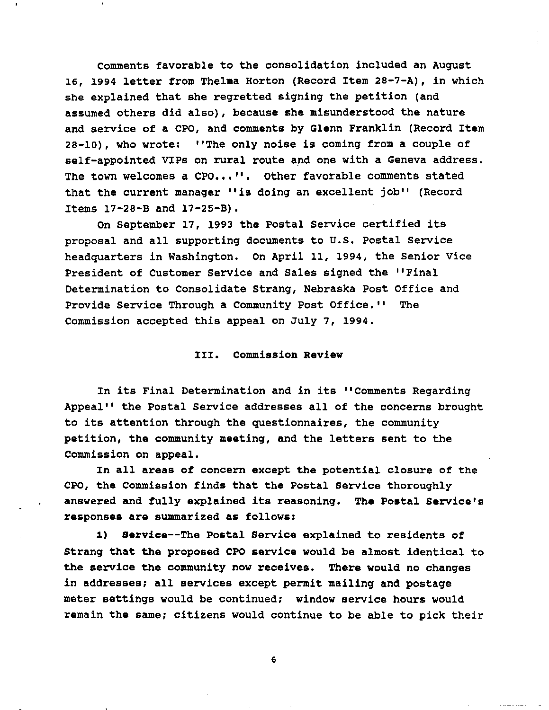comments favorable to the consolidation included an August 16, <sup>1994</sup> letter from Thelma Horton (Record Item 28-7-A), in which she explained that she regretted signing the petition (and assumed others did also), because she misunderstood the nature and service of a CPO, and comments by Glenn Franklin (Record Item 28-10), who wrote: "The only noise is coming from <sup>a</sup> couple of self-appointed VIPs on rural route and one with a Geneva address. The town welcomes a CPO...''. Other favorable comments stated that the current manager "is doing an excellent job" (Record Items 17-28-B and 17-25-B).

On September 17, <sup>1993</sup> the Postal service certified its proposal and all supporting documents to U.S. Postal Service headquarters in Washington. On April 11, 1994, the Senior Vice President of Customer Service and Sales signed the "Final Determination to Consolidate Strang, Nebraska Post Office and Provide service Through a Community Post Office." The Commission accepted this appeal on July 7, 1994.

# III. Commission Review

In its Final Determination and in its "Comments Regarding Appeal" the Postal service addresses all of the concerns brought to its attention through the questionnaires, the community petition, the community meeting, and the letters sent to the Commission on appeal.

In all areas of concern except the potential closure of the CPO, the Commission finds that the Postal Service thoroughly answered and fully explained its reasoning. The Postal Service's responses are summarized as follows:

1) Service--The Postal Service explained to residents of Strang that the proposed CPO service would be almost identical to the service the community now receives. There would no changes in addresses; all services except permit mailing and postage meter settings would be continued; window service hours would remain the same; citizens would continue to be able to pick their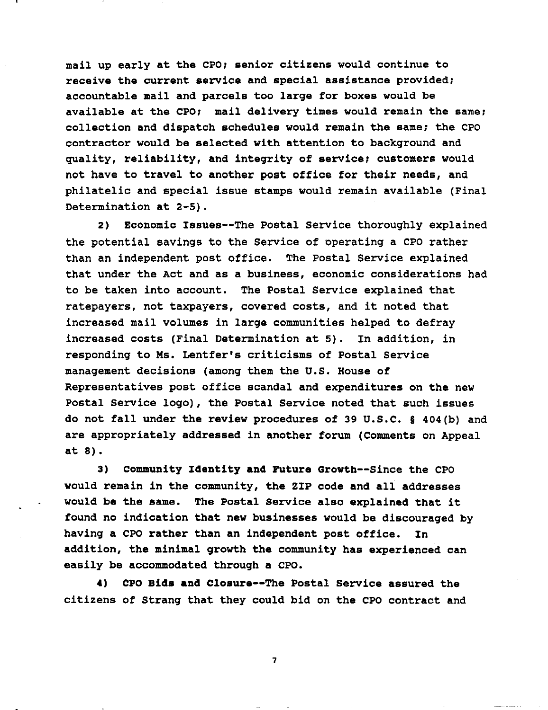mail up early at the CPO; senior citizens would continue to receive the current service and special assistance provided; accountable mail and parcels too large for boxes would be available at the CPO; mail delivery times would remain the same; collection and dispatch schedules would remain the same; the CPO contractor would be selected with attention to background and quality, reliability, and integrity of service; customers would not have to travel to another post office for their needs, and philatelic and special issue stamps would remain available (Final Determination at 2-5).

2) Economic Issues--The Postal Service thoroughly explained the potential savings to the Service of operating a CPO rather than an independent post office. The Postal Service explained that under the Act and as a business, economic considerations had to be taken into account. The Postal Service explained that ratepayers, not taxpayers, covered costs, and it noted that increased mail volumes in large communities helped to defray increased costs (Final Determination at 5). In addition, in responding to Ms. Lentfer's criticisms of Postal Service management decisions (among them the U.S. House of Representatives post office scandal and expenditures on the new Postal Service logo), the Postal Service noted that such issues do not fall under the review procedures of <sup>39</sup> U.S.C. § 404(b) and are appropriately addressed in another forum (Comments on Appeal at 8).

3) community Identity and Future Growth--Since the CPO would remain in the community, the ZIP code and all addresses would be the same. The Postal Service also explained that it found no indication that new businesses would be discouraged by having a CPO rather than an independent post office. In addition, the minimal growth the community has experienced can easily be accommodated through a CPO.

4) CPO Bids and Closure--The Postal Service assured the citizens of Strang that they could bid on the CPO contract and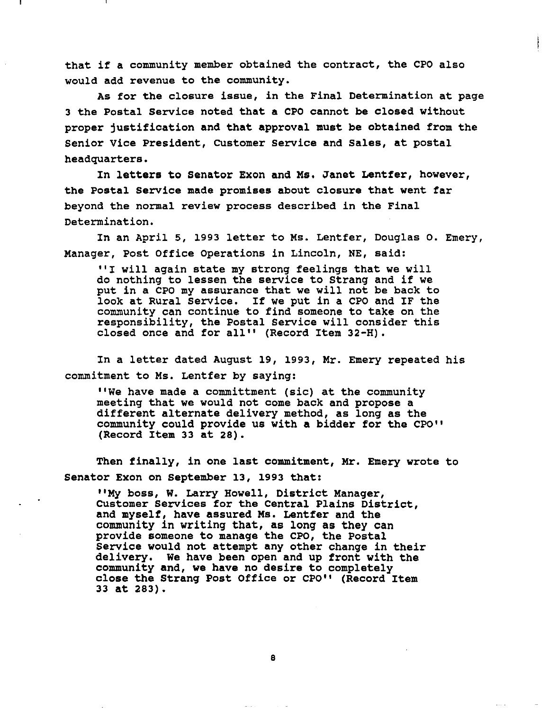that if <sup>a</sup> community member obtained the contract, the CPO also would add revenue to the community.

As for the closure issue, in the Final Determination at page 3 the Postal Service noted that a CPO cannot be closed without proper justification and that approval must be obtained from the Senior Vice President, customer Service and Sales, at postal headquarters.

In letters to Senator Exon and Ms. Janet Lentfer, however, the Postal Service made promises about closure that went far beyond the normal review process described in the Final Determination.

In an April 5, 1993 letter to Ms. Lentfer, Douglas o. Emery, Manager, Post Office Operations in Lincoln, NE, said:

"I will again state my strong feelings that we will do nothing to lessen the service to Strang and if we put in a CPO my assurance that we will not be back to look at Rural Service. If we put in <sup>a</sup> CPO and IF the community can continue to find someone to take on the responsibility, the Postal service will consider this closed once and for all" (Record Item 32-H).

In a letter dated August 19, 1993, Mr. Emery repeated his commitment to Ms. Lentfer by saying:

"We have made a committment (sic) at the community meeting that we would not come back and propose a different alternate delivery method, as long as the community could provide us with a bidder for the CPO" (Record Item 33 at 28).

Then finally, in one last commitment, Mr. Emery wrote to Senator Exon on September 13, 1993 that:

"My boss, W. Larry Howell, District Manager, CUstomer Services for the Central Plains District, and myself, have assured Ms. Lentfer and the community in writing that, as long as they can provide someone to manage the CPO, the Postal Service would not attempt any other change in their delivery. We have been open and up front with the community and, we have no desire to completely close the Strang Post Office or CPO" (Record Item 33 at 283).

 $1.1.11$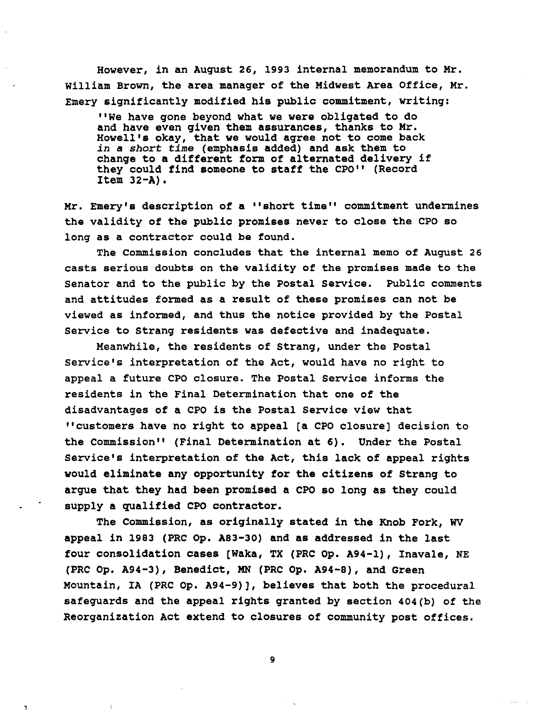However, in an August 26, 1993 internal memorandum to Mr. william Brown, the area manager of the Midwest Area Office, Mr. Emery significantly modified his public commitment, writing:

"We have gone beyond what we were obligated to do and have even given them assurances, thanks to Mr. Howell's okay, that we would agree not to come back *in* a *short time* (emphasis added) and ask them to change to <sup>a</sup> different form of alternated delivery if they could find someone to staff the CPO" (Record Item  $32 - A$ ).

Mr. Emery's description of a "short time" commitment undermines the validity of the public promises never to close the CPO so long as a contractor could be found.

The Commission concludes that the internal memo of August 26 casts serious doubts on the validity of the promises made to the Senator and to the public by the Postal Service. Public comments and attitudes formed as a result of these promises can not be viewed as informed, and thus the notice provided by the Postal Service to Strang residents was defective and inadequate.

Meanwhile, the residents of strang, under the Postal service's interpretation of the Act, would have no right to appeal a future CPO closure. The Postal Service informs the residents in the Final Determination that one of the disadvantages of a CPO is the Postal Service view that "customers have no right to appeal [a CPO closure] decision to the Commission" (Final Determination at 6). Under the Postal Service's interpretation of the Act, this lack of appeal rights would eliminate any opportunity for the citizens of Strang to argue that they had been promised a CPO so long as they could supply a qualified CPO contractor.

The Commission, as originally stated in the Knob Fork, WV appeal in 1983 (PRC Op. A83-30) and as addressed in the last four consolidation cases [Waka, TX (PRC Op. A94-l), Inavale, NE (PRC Op. A94-3), Benedict, MN (PRC Op. A94-8), and Green Mountain, IA (PRC op. A94-9)], believes that both the procedural safeguards and the appeal rights granted by section 404(b) of the Reorganization Act extend to closures of community post offices.

9

 $\ldots$